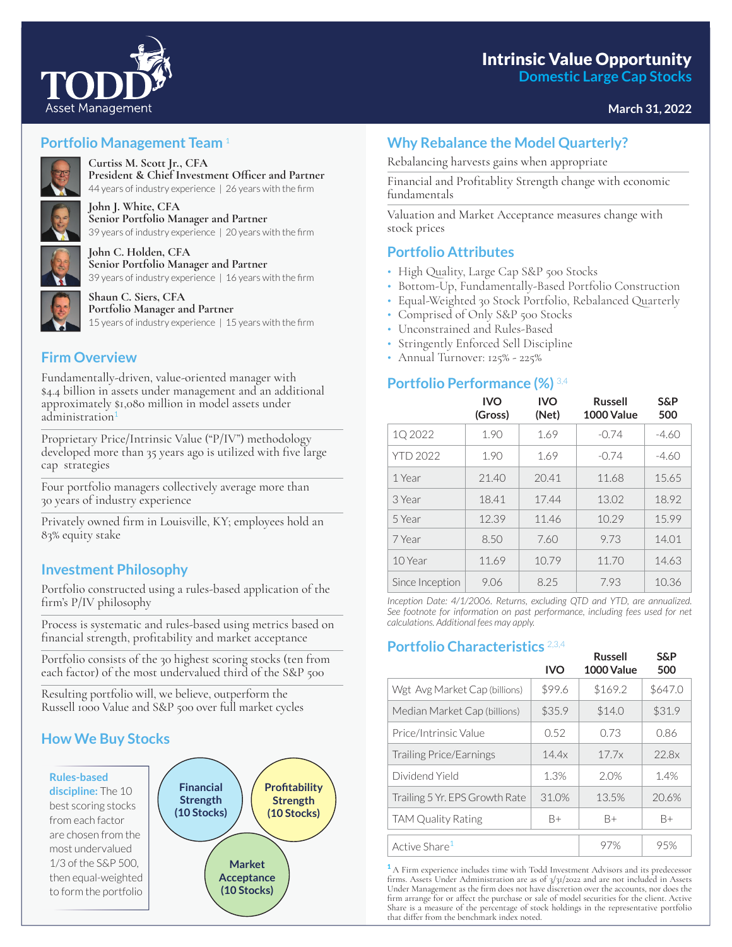**Domestic Large Cap Stocks**

# **March 31, 2022**



## **Portfolio Management Team** <sup>1</sup>



**Curtiss M. Scott Jr., CFA** President & Chief Investment Officer and Partner 44 years of industry experience | 26 years with the firm



**John J. White, CFA Senior Portfolio Manager and Partner** 39 years of industry experience | 20 years with the firm



**John C. Holden, CFA Senior Portfolio Manager and Partner** 39 years of industry experience | 16 years with the firm



**Shaun C. Siers, CFA Portfolio Manager and Partner** 15 years of industry experience  $\mid$  15 years with the firm

## **Firm Overview**

Fundamentally-driven, value-oriented manager with \$4.4 billion in assets under management and an additional approximately \$1,080 million in model assets under administration

Proprietary Price/Intrinsic Value ("P/IV") methodology developed more than 35 years ago is utilized with five large cap strategies

Four portfolio managers collectively average more than 30 years of industry experience

Privately owned firm in Louisville, KY; employees hold an 83% equity stake

## **Investment Philosophy**

Portfolio constructed using a rules-based application of the firm's  $P/IV$  philosophy

Process is systematic and rules-based using metrics based on financial strength, profitability and market acceptance

Portfolio consists of the 30 highest scoring stocks (ten from each factor) of the most undervalued third of the S&P 500

Resulting portfolio will, we believe, outperform the Russell 1000 Value and S&P 500 over full market cycles

## **How We Buy Stocks**



## **Why Rebalance the Model Quarterly?**

Rebalancing harvests gains when appropriate

Financial and Profitablity Strength change with economic fundamentals

Valuation and Market Acceptance measures change with stock prices

### **Portfolio Attributes**

- High Quality, Large Cap S&P 500 Stocks
- Bottom-Up, Fundamentally-Based Portfolio Construction
- Equal-Weighted 30 Stock Portfolio, Rebalanced Quarterly
- Comprised of Only S&P 500 Stocks
- Unconstrained and Rules-Based
- Stringently Enforced Sell Discipline
- Annual Turnover: 125% 225%

### **Portfolio Performance (%)** 3,4

|                 | <b>IVO</b><br>(Gross) | <b>IVO</b><br>(Net) | <b>Russell</b><br>1000 Value | <b>S&amp;P</b><br>500 |
|-----------------|-----------------------|---------------------|------------------------------|-----------------------|
| 1Q 2022         | 1.90                  | 1.69                | $-0.74$                      | $-4.60$               |
| YTD 2022        | 1.90                  | 1.69                | $-0.74$                      | $-4.60$               |
| 1 Year          | 21.40                 | 20.41               | 11.68                        | 15.65                 |
| 3 Year          | 18.41                 | 17.44               | 13.02                        | 18.92                 |
| 5 Year          | 12.39                 | 11.46               | 10.29                        | 15.99                 |
| 7 Year          | 8.50                  | 7.60                | 9.73                         | 14.01                 |
| 10 Year         | 11.69                 | 10.79               | 11.70                        | 14.63                 |
| Since Inception | 9.06                  | 8.25                | 7.93                         | 10.36                 |

*Inception Date: 4/1/2006. Returns, excluding QTD and YTD, are annualized.*  See footnote for information on past performance, including fees used for net *calculations. Additional fees may apply.*

## **Portfolio Characteristics** 2,3,4

| UNU CHALACLU ISLICS            | <b>IVO</b> | <b>Russell</b><br>1000 Value | <b>S&amp;P</b><br>500 |
|--------------------------------|------------|------------------------------|-----------------------|
| Wgt Avg Market Cap (billions)  | \$99.6     | \$169.2                      | \$647.0               |
| Median Market Cap (billions)   | \$35.9     | \$14.0                       | \$31.9                |
| Price/Intrinsic Value          | 0.52       | 0.73                         | 0.86                  |
| <b>Trailing Price/Earnings</b> | 14.4x      | 17.7x                        | 22.8x                 |
| Dividend Yield                 | 1.3%       | 2.0%                         | 1.4%                  |
| Trailing 5 Yr. EPS Growth Rate | 31.0%      | 13.5%                        | 20.6%                 |
| <b>TAM Quality Rating</b>      | B+         | B+                           | $B+$                  |
| Active Share <sup>1</sup>      |            | 97%                          | 95%                   |

**<sup>1</sup>** A Firm experience includes time with Todd Investment Advisors and its predecessor firms. Assets Under Administration are as of 3/31/2022 and are not included in Assets Under Management as the firm does not have discretion over the accounts, nor does the firm arrange for or affect the purchase or sale of model securities for the client. Active Share is a measure of the percentage of stock holdings in the representative portfolio that differ from the benchmark index noted.